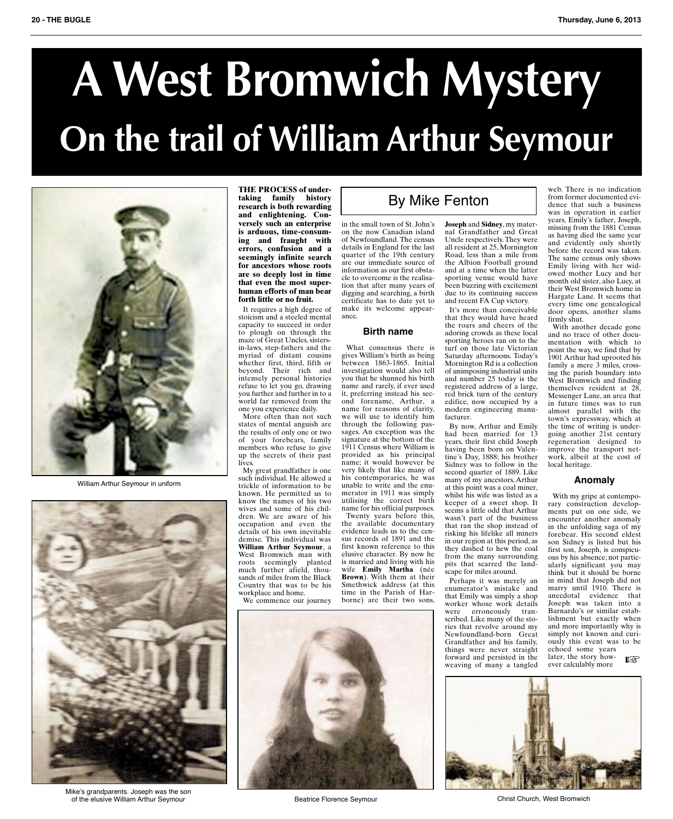# **AWest Bromwich Mystery On the trail of William Arthur Seymour**



William Arthur Seymour in uniform



Mike's grandparents. Joseph was the son of the elusive William Arthur Seymour Beatrice Florence Seymour Christ Church, West Bromwich

**THE PROCESS of undertaking family history research is both rewarding and enlightening. Conversely such an enterprise is arduous, time-consuming and fraught with errors, confusion and a seemingly infinite search for ancestors whose roots are so deeply lost in time that even the most superhuman efforts of man bear forth little or no fruit.**

It requires a high degree of stoicism and a steeled mental capacity to succeed in order to plough on through the maze of Great Uncles, sistersin-laws, step-fathers and the myriad of distant cousins whether first, third, fifth or beyond. Their rich and intensely personal histories refuse to let you go, drawing you further and further in to a world far removed from the one you experience daily.

More often than not such states of mental anguish are the results of only one or two of your forebears, family members who refuse to give up the secrets of their past lives.

My great grandfather is one such individual. He allowed a trickle of information to be known. He permitted us to know the names of his two wives and some of his children. We are aware of his occupation and even the details of his own inevitable demise. This individual was **William Arthur Seymour**, a West Bromwich man with roots seemingly planted much further afield, thousands of miles from the Black Country that was to be his workplace and home.

We commence our journey



## By Mike Fenton

in the small town of St. John's on the now Canadian island of Newfoundland. The census details in England for the last quarter of the 19th century are our immediate source of information as our first obstacle to overcome is the realisation that after many years of digging and searching, a birth certificate has to date yet to make its welcome appearance.

#### **Birth name**

What consensus there is gives William's birth as being between 1863-1865. Initial investigation would also tell you that he shunned his birth name and rarely, if ever used it, preferring instead his second forename, Arthur, a name for reasons of clarity, we will use to identify him through the following passages. An exception was the signature at the bottom of the 1911 Census where William is provided as his principal name; it would however be very likely that like many of his contemporaries, he was unable to write and the enumerator in 1911 was simply utilising the correct birth name for his official purposes. Twenty years before this, the available documentary evidence leads us to the census records of 1891 and the first known reference to this elusive character. By now he is married and living with his wife **Emily Martha** (née **Brown**). With them at their

Smethwick address (at this time in the Parish of Harborne) are their two sons, **Joseph** and **Sidney**, my maternal Grandfather and Great Uncle respectively.They were all resident at 25, Mornington Road, less than a mile from the Albion Football ground and at a time when the latter sporting venue would have been buzzing with excitement due to its continuing success and recent FA Cup victory.

It's more than conceivable that they would have heard the roars and cheers of the adoring crowds as these local sporting heroes ran on to the turf on those late Victorian Saturday afternoons. Today's Mornington Rd is a collection of unimposing industrial units and number 25 today is the registered address of a large, red brick turn of the century edifice, now occupied by a modern engineering manufacturer.

By now, Arthur and Emily had been married for 13 years, their first child Joseph having been born on Valentine's Day, 1888; his brother Sidney was to follow in the second quarter of 1889. Like many of my ancestors,Arthur at this point was a coal miner, whilst his wife was listed as a keeper of a sweet shop. It seems a little odd that Arthur wasn't part of the business that ran the shop instead of risking his lifelike all miners in our region at this period, as they dashed to hew the coal from the many surrounding pits that scarred the landscape for miles around.

Perhaps it was merely an enumerator's mistake and that Emily was simply a shop worker whose work details were erroneously tran-scribed. Like many of the stories that revolve around my Newfoundland-born Great Grandfather and his family, things were never straight forward and persisted in the weaving of many a tangled web. There is no indication from former documented evidence that such a business was in operation in earlier years, Emily's father, Joseph, missing from the 1881 Census as having died the same year and evidently only shortly before the record was taken. The same census only shows Emily living with her wid-owed mother Lucy and her month old sister, also Lucy, at their West Bromwich home in Hargate Lane. It seems that every time one genealogical door opens, another slams firmly shut.

With another decade gone and no trace of other documentation with which to point the way, we find that by 1901 Arthur had uprooted his family a mere 3 miles, crossing the parish boundary into West Bromwich and finding themselves resident at 28, Messenger Lane, an area that in future times was to run almost parallel with the town's expressway, which at the time of writing is undergoing another 21st century regeneration designed to improve the transport network, albeit at the cost of local heritage.

#### **Anomaly**

With my gripe at contemporary construction developments put on one side, we encounter another anomaly in the unfolding saga of my forebear. His second eldest son Sidney is listed but his first son, Joseph, is conspicu-ous by his absence; not particularly significant you may think but it should be borne in mind that Joseph did not marry until 1910. There is anecdotal evidence that Joseph was taken into a Barnardo's or similar establishment but exactly when and more importantly why is simply not known and curiously this event was to be echoed some years

later, the story however calculably more ☞